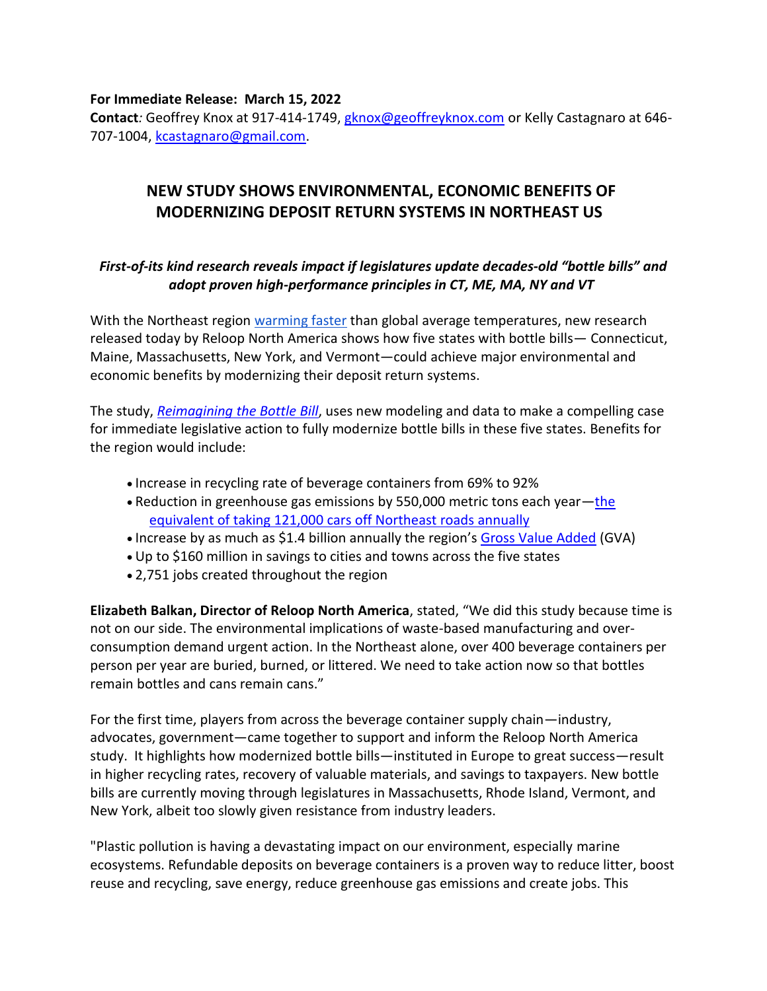**For Immediate Release: March 15, 2022**

**Contact***:* Geoffrey Knox at 917-414-1749, [gknox@geoffreyknox.com](mailto:gknox@geoffreyknox.com) or Kelly Castagnaro at 646- 707-1004, [kcastagnaro@gmail.com.](mailto:kcastagnaro@gmail.com)

## **NEW STUDY SHOWS ENVIRONMENTAL, ECONOMIC BENEFITS OF MODERNIZING DEPOSIT RETURN SYSTEMS IN NORTHEAST US**

## *First-of-its kind research reveals impact if legislatures update decades-old "bottle bills" and adopt proven high-performance principles in CT, ME, MA, NY and VT*

With the Northeast region [warming faster](https://www.bostonglobe.com/2021/12/30/science/new-england-is-warming-faster-than-rest-planet-new-study-finds/) than global average temperatures, new research released today by Reloop North America shows how five states with bottle bills— Connecticut, Maine, Massachusetts, New York, and Vermont—could achieve major environmental and economic benefits by modernizing their deposit return systems.

The study, *[Reimagining the Bottle Bill](https://bottlebillreimagined.org/)*, uses new modeling and data to make a compelling case for immediate legislative action to fully modernize bottle bills in these five states. Benefits for the region would include:

- Increase in recycling rate of beverage containers from 69% to 92%
- Reduction in greenhouse gas emissions by 550,000 metric tons each year—[the](https://www.epa.gov/energy/greenhouse-gas-equivalencies-calculator)  [equivalent of taking 121,000 cars off Northeast roads annually](https://www.epa.gov/energy/greenhouse-gas-equivalencies-calculator)
- Increase by as much as \$1.4 billion annually the region's [Gross Value Added](https://bottlebillreimagined.org/) (GVA)
- Up to \$160 million in savings to cities and towns across the five states
- 2,751 jobs created throughout the region

**Elizabeth Balkan, Director of Reloop North America**, stated, "We did this study because time is not on our side. The environmental implications of waste-based manufacturing and overconsumption demand urgent action. In the Northeast alone, over 400 beverage containers per person per year are buried, burned, or littered. We need to take action now so that bottles remain bottles and cans remain cans."

For the first time, players from across the beverage container supply chain—industry, advocates, government—came together to support and inform the Reloop North America study. It highlights how modernized bottle bills—instituted in Europe to great success—result in higher recycling rates, recovery of valuable materials, and savings to taxpayers. New bottle bills are currently moving through legislatures in Massachusetts, Rhode Island, Vermont, and New York, albeit too slowly given resistance from industry leaders.

"Plastic pollution is having a devastating impact on our environment, especially marine ecosystems. Refundable deposits on beverage containers is a proven way to reduce litter, boost reuse and recycling, save energy, reduce greenhouse gas emissions and create jobs. This